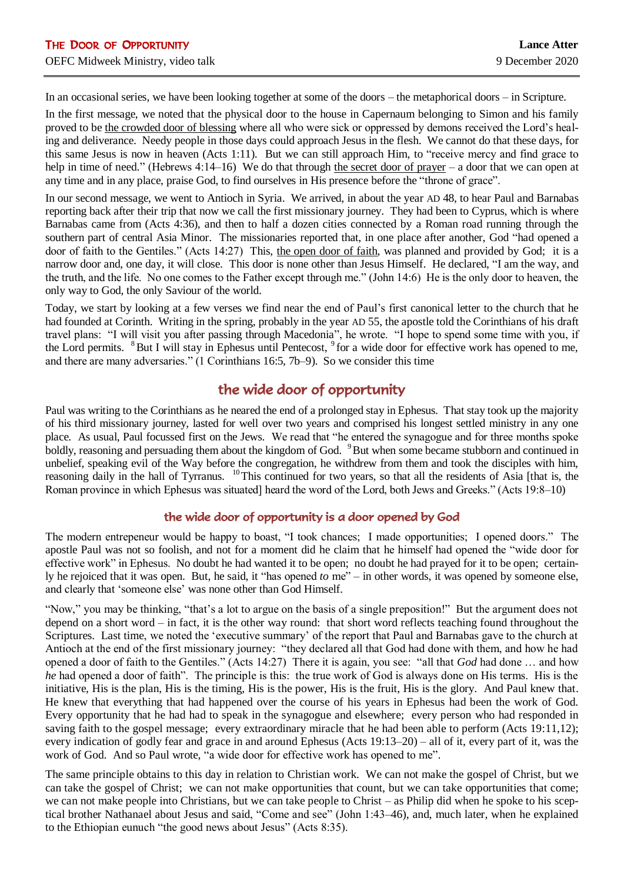In an occasional series, we have been looking together at some of the doors – the metaphorical doors – in Scripture.

In the first message, we noted that the physical door to the house in Capernaum belonging to Simon and his family proved to be the crowded door of blessing where all who were sick or oppressed by demons received the Lord's healing and deliverance. Needy people in those days could approach Jesus in the flesh. We cannot do that these days, for this same Jesus is now in heaven (Acts 1:11). But we can still approach Him, to "receive mercy and find grace to help in time of need." (Hebrews 4:14–16) We do that through the secret door of prayer – a door that we can open at any time and in any place, praise God, to find ourselves in His presence before the "throne of grace".

In our second message, we went to Antioch in Syria. We arrived, in about the year AD 48, to hear Paul and Barnabas reporting back after their trip that now we call the first missionary journey. They had been to Cyprus, which is where Barnabas came from (Acts 4:36), and then to half a dozen cities connected by a Roman road running through the southern part of central Asia Minor. The missionaries reported that, in one place after another, God "had opened a door of faith to the Gentiles." (Acts 14:27) This, the open door of faith, was planned and provided by God; it is a narrow door and, one day, it will close. This door is none other than Jesus Himself. He declared, "I am the way, and the truth, and the life. No one comes to the Father except through me." (John 14:6) He is the only door to heaven, the only way to God, the only Saviour of the world.

Today, we start by looking at a few verses we find near the end of Paul's first canonical letter to the church that he had founded at Corinth. Writing in the spring, probably in the year AD 55, the apostle told the Corinthians of his draft travel plans: "I will visit you after passing through Macedonia", he wrote. "I hope to spend some time with you, if the Lord permits. <sup>8</sup> But I will stay in Ephesus until Pentecost, <sup>9</sup> for a wide door for effective work has opened to me, and there are many adversaries." (1 Corinthians 16:5, 7b–9). So we consider this time

## the wide door of opportunity

Paul was writing to the Corinthians as he neared the end of a prolonged stay in Ephesus. That stay took up the majority of his third missionary journey, lasted for well over two years and comprised his longest settled ministry in any one place. As usual, Paul focussed first on the Jews. We read that "he entered the synagogue and for three months spoke boldly, reasoning and persuading them about the kingdom of God. <sup>9</sup>But when some became stubborn and continued in unbelief, speaking evil of the Way before the congregation, he withdrew from them and took the disciples with him, reasoning daily in the hall of Tyrranus. <sup>10</sup>This continued for two years, so that all the residents of Asia [that is, the Roman province in which Ephesus was situated] heard the word of the Lord, both Jews and Greeks." (Acts 19:8–10)

## the wide door of opportunity is a door opened by God

The modern entrepeneur would be happy to boast, "I took chances; I made opportunities; I opened doors." The apostle Paul was not so foolish, and not for a moment did he claim that he himself had opened the "wide door for effective work" in Ephesus. No doubt he had wanted it to be open; no doubt he had prayed for it to be open; certainly he rejoiced that it was open. But, he said, it "has opened *to* me" – in other words, it was opened by someone else, and clearly that 'someone else' was none other than God Himself.

"Now," you may be thinking, "that's a lot to argue on the basis of a single preposition!" But the argument does not depend on a short word – in fact, it is the other way round: that short word reflects teaching found throughout the Scriptures. Last time, we noted the 'executive summary' of the report that Paul and Barnabas gave to the church at Antioch at the end of the first missionary journey: "they declared all that God had done with them, and how he had opened a door of faith to the Gentiles." (Acts 14:27) There it is again, you see: "all that *God* had done … and how *he* had opened a door of faith". The principle is this: the true work of God is always done on His terms. His is the initiative, His is the plan, His is the timing, His is the power, His is the fruit, His is the glory. And Paul knew that. He knew that everything that had happened over the course of his years in Ephesus had been the work of God. Every opportunity that he had had to speak in the synagogue and elsewhere; every person who had responded in saving faith to the gospel message; every extraordinary miracle that he had been able to perform (Acts 19:11,12); every indication of godly fear and grace in and around Ephesus (Acts 19:13–20) – all of it, every part of it, was the work of God. And so Paul wrote, "a wide door for effective work has opened to me".

The same principle obtains to this day in relation to Christian work. We can not make the gospel of Christ, but we can take the gospel of Christ; we can not make opportunities that count, but we can take opportunities that come; we can not make people into Christians, but we can take people to Christ – as Philip did when he spoke to his sceptical brother Nathanael about Jesus and said, "Come and see" (John 1:43–46), and, much later, when he explained to the Ethiopian eunuch "the good news about Jesus" (Acts 8:35).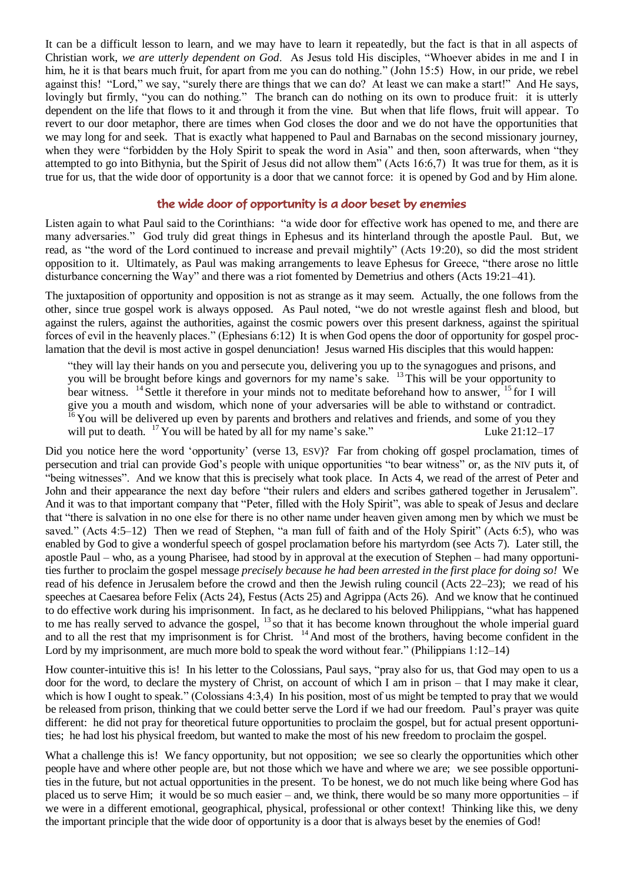It can be a difficult lesson to learn, and we may have to learn it repeatedly, but the fact is that in all aspects of Christian work, *we are utterly dependent on God*. As Jesus told His disciples, "Whoever abides in me and I in him, he it is that bears much fruit, for apart from me you can do nothing." (John 15:5) How, in our pride, we rebel against this! "Lord," we say, "surely there are things that we can do? At least we can make a start!" And He says, lovingly but firmly, "you can do nothing." The branch can do nothing on its own to produce fruit: it is utterly dependent on the life that flows to it and through it from the vine. But when that life flows, fruit will appear. To revert to our door metaphor, there are times when God closes the door and we do not have the opportunities that we may long for and seek. That is exactly what happened to Paul and Barnabas on the second missionary journey, when they were "forbidden by the Holy Spirit to speak the word in Asia" and then, soon afterwards, when "they attempted to go into Bithynia, but the Spirit of Jesus did not allow them" (Acts 16:6,7) It was true for them, as it is true for us, that the wide door of opportunity is a door that we cannot force: it is opened by God and by Him alone.

## the wide door of opportunity is a door beset by enemies

Listen again to what Paul said to the Corinthians: "a wide door for effective work has opened to me, and there are many adversaries." God truly did great things in Ephesus and its hinterland through the apostle Paul. But, we read, as "the word of the Lord continued to increase and prevail mightily" (Acts 19:20), so did the most strident opposition to it. Ultimately, as Paul was making arrangements to leave Ephesus for Greece, "there arose no little disturbance concerning the Way" and there was a riot fomented by Demetrius and others (Acts 19:21–41).

The juxtaposition of opportunity and opposition is not as strange as it may seem. Actually, the one follows from the other, since true gospel work is always opposed. As Paul noted, "we do not wrestle against flesh and blood, but against the rulers, against the authorities, against the cosmic powers over this present darkness, against the spiritual forces of evil in the heavenly places." (Ephesians 6:12) It is when God opens the door of opportunity for gospel proclamation that the devil is most active in gospel denunciation! Jesus warned His disciples that this would happen:

"they will lay their hands on you and persecute you, delivering you up to the synagogues and prisons, and you will be brought before kings and governors for my name's sake. <sup>13</sup>This will be your opportunity to bear witness. <sup>14</sup> Settle it therefore in your minds not to meditate beforehand how to answer, <sup>15</sup> for I will give you a mouth and wisdom, which none of your adversaries will be able to withstand or contradict. You will be delivered up even by parents and brothers and relatives and friends, and some of you they will put to death.  $^{17}$  You will be hated by all for my name's sake." Luke 21:12–17

Did you notice here the word 'opportunity' (verse 13, ESV)? Far from choking off gospel proclamation, times of persecution and trial can provide God's people with unique opportunities "to bear witness" or, as the NIV puts it, of "being witnesses". And we know that this is precisely what took place. In Acts 4, we read of the arrest of Peter and John and their appearance the next day before "their rulers and elders and scribes gathered together in Jerusalem". And it was to that important company that "Peter, filled with the Holy Spirit", was able to speak of Jesus and declare that "there is salvation in no one else for there is no other name under heaven given among men by which we must be saved." (Acts 4:5–12) Then we read of Stephen, "a man full of faith and of the Holy Spirit" (Acts 6:5), who was enabled by God to give a wonderful speech of gospel proclamation before his martyrdom (see Acts 7). Later still, the apostle Paul – who, as a young Pharisee, had stood by in approval at the execution of Stephen – had many opportunities further to proclaim the gospel message *precisely because he had been arrested in the first place for doing so!* We read of his defence in Jerusalem before the crowd and then the Jewish ruling council (Acts 22–23); we read of his speeches at Caesarea before Felix (Acts 24), Festus (Acts 25) and Agrippa (Acts 26). And we know that he continued to do effective work during his imprisonment. In fact, as he declared to his beloved Philippians, "what has happened to me has really served to advance the gospel, <sup>13</sup> so that it has become known throughout the whole imperial guard and to all the rest that my imprisonment is for Christ. <sup>14</sup> And most of the brothers, having become confident in the Lord by my imprisonment, are much more bold to speak the word without fear." (Philippians 1:12–14)

How counter-intuitive this is! In his letter to the Colossians, Paul says, "pray also for us, that God may open to us a door for the word, to declare the mystery of Christ, on account of which I am in prison – that I may make it clear, which is how I ought to speak." (Colossians 4:3,4) In his position, most of us might be tempted to pray that we would be released from prison, thinking that we could better serve the Lord if we had our freedom. Paul's prayer was quite different: he did not pray for theoretical future opportunities to proclaim the gospel, but for actual present opportunities; he had lost his physical freedom, but wanted to make the most of his new freedom to proclaim the gospel.

What a challenge this is! We fancy opportunity, but not opposition; we see so clearly the opportunities which other people have and where other people are, but not those which we have and where we are; we see possible opportunities in the future, but not actual opportunities in the present. To be honest, we do not much like being where God has placed us to serve Him; it would be so much easier – and, we think, there would be so many more opportunities – if we were in a different emotional, geographical, physical, professional or other context! Thinking like this, we deny the important principle that the wide door of opportunity is a door that is always beset by the enemies of God!